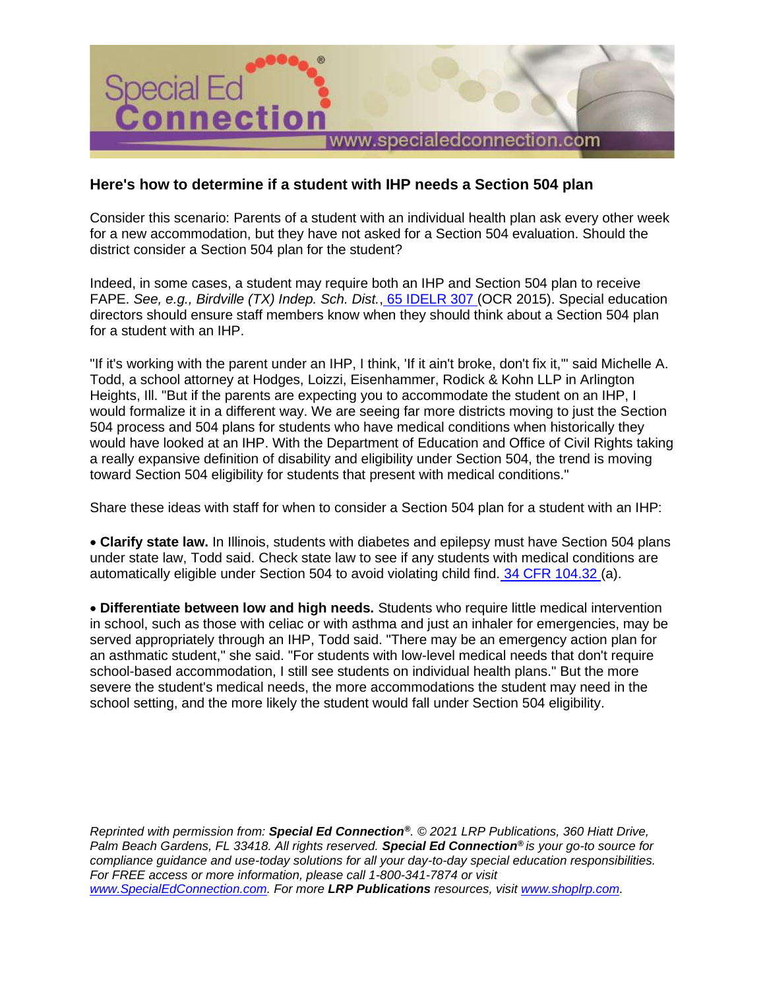

## **Here's how to determine if a student with IHP needs a Section 504 plan**

Consider this scenario: Parents of a student with an individual health plan ask every other week for a new accommodation, but they have not asked for a Section 504 evaluation. Should the district consider a Section 504 plan for the student?

Indeed, in some cases, a student may require both an IHP and Section 504 plan to receive FAPE. *See, e.g., Birdville (TX) Indep. Sch. Dist.*, [65 IDELR 307](https://www.specialedconnection.com/LrpSecStoryTool/servlet/GetCase?cite=65+IDELR+307) (OCR 2015). Special education directors should ensure staff members know when they should think about a Section 504 plan for a student with an IHP.

"If it's working with the parent under an IHP, I think, 'If it ain't broke, don't fix it,'" said Michelle A. Todd, a school attorney at Hodges, Loizzi, Eisenhammer, Rodick & Kohn LLP in Arlington Heights, Ill. "But if the parents are expecting you to accommodate the student on an IHP, I would formalize it in a different way. We are seeing far more districts moving to just the Section 504 process and 504 plans for students who have medical conditions when historically they would have looked at an IHP. With the Department of Education and Office of Civil Rights taking a really expansive definition of disability and eligibility under Section 504, the trend is moving toward Section 504 eligibility for students that present with medical conditions."

Share these ideas with staff for when to consider a Section 504 plan for a student with an IHP:

• **Clarify state law.** In Illinois, students with diabetes and epilepsy must have Section 504 plans under state law, Todd said. Check state law to see if any students with medical conditions are automatically eligible under Section 504 to avoid violating child find. [34 CFR 104.32](https://www.specialedconnection.com/LrpSecStoryTool/servlet/GetReg?cite=34+CFR+104.32) (a).

• **Differentiate between low and high needs.** Students who require little medical intervention in school, such as those with celiac or with asthma and just an inhaler for emergencies, may be served appropriately through an IHP, Todd said. "There may be an emergency action plan for an asthmatic student," she said. "For students with low-level medical needs that don't require school-based accommodation, I still see students on individual health plans." But the more severe the student's medical needs, the more accommodations the student may need in the school setting, and the more likely the student would fall under Section 504 eligibility.

*Reprinted with permission from: Special Ed Connection®. © 2021 LRP Publications, 360 Hiatt Drive, Palm Beach Gardens, FL 33418. All rights reserved. Special Ed Connection® is your go-to source for compliance guidance and use-today solutions for all your day-to-day special education responsibilities. For FREE access or more information, please call 1-800-341-7874 or visit [www.SpecialEdConnection.com.](http://www.specialedconnection.com/) For more LRP Publications resources, visit [www.shoplrp.com.](http://www.shoplrp.com/)*